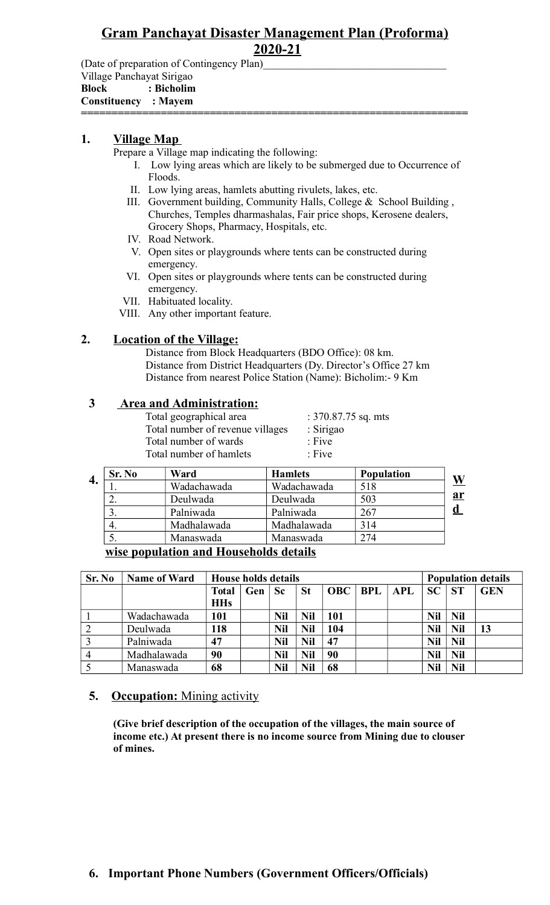#### **Gram Panchayat Disaster Management Plan (Proforma) 2020-21**

(Date of preparation of Contingency Plan)

Village Panchayat Sirigao **Block : Bicholim**

**Constituency : Mayem** 

**===============================================================**

#### **1. Village Map**

Prepare a Village map indicating the following:

- I. Low lying areas which are likely to be submerged due to Occurrence of Floods.
- II. Low lying areas, hamlets abutting rivulets, lakes, etc.
- III. Government building, Community Halls, College & School Building , Churches, Temples dharmashalas, Fair price shops, Kerosene dealers, Grocery Shops, Pharmacy, Hospitals, etc.
- IV. Road Network.
- V. Open sites or playgrounds where tents can be constructed during emergency.
- VI. Open sites or playgrounds where tents can be constructed during emergency.
- VII. Habituated locality.
- VIII. Any other important feature.

#### **2. Location of the Village:**

Distance from Block Headquarters (BDO Office): 08 km. Distance from District Headquarters (Dy. Director's Office 27 km Distance from nearest Police Station (Name): Bicholim:- 9 Km

#### **3 Area and Administration:**

| Total geographical area          | : $370.87.75$ sq. mts |
|----------------------------------|-----------------------|
| Total number of revenue villages | : Sirigao             |
| Total number of wards            | $:$ Five              |
| Total number of hamlets          | $:$ Five              |
|                                  |                       |

|    | Sr. No | Ward        | <b>Hamlets</b> | <b>Population</b> |  |
|----|--------|-------------|----------------|-------------------|--|
| 4. |        | Wadachawada | Wadachawada    | 518               |  |
|    | ۷,     | Deulwada    | Deulwada       | 503               |  |
|    |        | Palniwada   | Palniwada      | 267               |  |
|    | 4.     | Madhalawada | Madhalawada    | 314               |  |
|    |        | Manaswada   | Manaswada      | 274               |  |

**wise population and Households details**

| Sr. No | <b>Name of Ward</b> | <b>House holds details</b> |     |            |            |            |            |            |            |            | <b>Population details</b> |
|--------|---------------------|----------------------------|-----|------------|------------|------------|------------|------------|------------|------------|---------------------------|
|        |                     | Total                      | Gen | <b>Sc</b>  | <b>St</b>  | <b>OBC</b> | <b>BPL</b> | <b>APL</b> | SC         | <b>ST</b>  | <b>GEN</b>                |
|        |                     | <b>HHs</b>                 |     |            |            |            |            |            |            |            |                           |
|        | Wadachawada         | 101                        |     | <b>Nil</b> | <b>Nil</b> | 101        |            |            | <b>Nil</b> | <b>Nil</b> |                           |
| ∍      | Deulwada            | 118                        |     | <b>Nil</b> | <b>Nil</b> | 104        |            |            | <b>Nil</b> | Nil        | 13                        |
|        | Palniwada           | 47                         |     | Nil        | <b>Nil</b> | 47         |            |            | <b>Nil</b> | <b>Nil</b> |                           |
|        | Madhalawada         | 90                         |     | <b>Nil</b> | <b>Nil</b> | 90         |            |            | <b>Nil</b> | <b>Nil</b> |                           |
|        | Manaswada           | 68                         |     | Nil        | <b>Nil</b> | 68         |            |            | Nil        | <b>Nil</b> |                           |

#### **5.** Occupation: Mining activity

**(Give brief description of the occupation of the villages, the main source of income etc.) At present there is no income source from Mining due to clouser of mines.**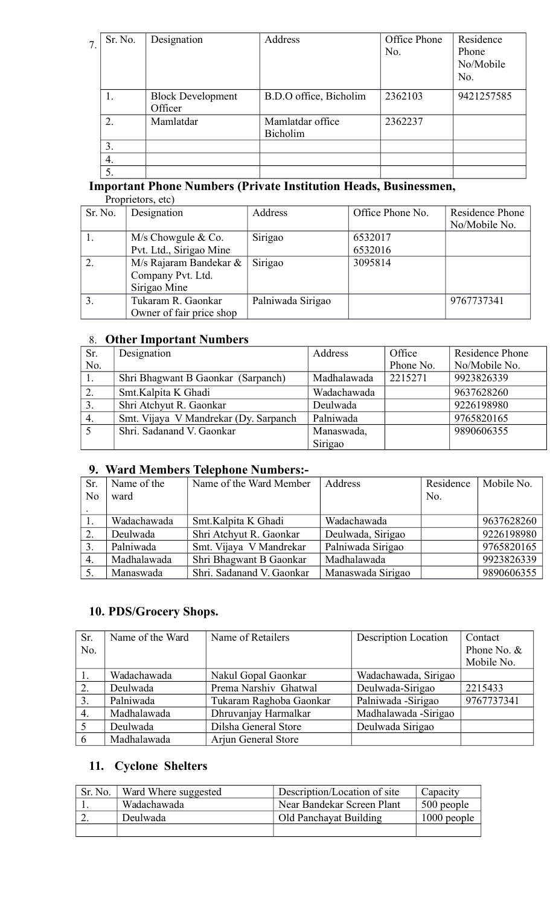| Sr. No.          | Designation                         | Address                             | Office Phone<br>No. | Residence<br>Phone<br>No/Mobile<br>No. |
|------------------|-------------------------------------|-------------------------------------|---------------------|----------------------------------------|
|                  | <b>Block Development</b><br>Officer | B.D.O office, Bicholim              | 2362103             | 9421257585                             |
| $\overline{2}$ . | Mamlatdar                           | Mamlatdar office<br><b>Bicholim</b> | 2362237             |                                        |
| 3.               |                                     |                                     |                     |                                        |
| 4.               |                                     |                                     |                     |                                        |
| 5.               |                                     |                                     |                     |                                        |

# **Important Phone Numbers (Private Institution Heads, Businessmen,**

| Proprietors, etc) |
|-------------------|
|-------------------|

| Sr. No.        | Designation              | Address           | Office Phone No. | Residence Phone<br>No/Mobile No. |
|----------------|--------------------------|-------------------|------------------|----------------------------------|
|                | $M/s$ Chowgule & Co.     | Sirigao           | 6532017          |                                  |
|                | Pvt. Ltd., Sirigao Mine  |                   | 6532016          |                                  |
| 2.             | M/s Rajaram Bandekar &   | Sirigao           | 3095814          |                                  |
|                | Company Pvt. Ltd.        |                   |                  |                                  |
|                | Sirigao Mine             |                   |                  |                                  |
| 3 <sub>1</sub> | Tukaram R. Gaonkar       | Palniwada Sirigao |                  | 9767737341                       |
|                | Owner of fair price shop |                   |                  |                                  |

#### 8. **Other Important Numbers**

| Sr. | Designation                           | Address     | Office    | <b>Residence Phone</b> |
|-----|---------------------------------------|-------------|-----------|------------------------|
| No. |                                       |             | Phone No. | No/Mobile No.          |
|     | Shri Bhagwant B Gaonkar (Sarpanch)    | Madhalawada | 2215271   | 9923826339             |
| 2.  | Smt.Kalpita K Ghadi                   | Wadachawada |           | 9637628260             |
| 3.  | Shri Atchyut R. Gaonkar               | Deulwada    |           | 9226198980             |
| 4.  | Smt. Vijaya V Mandrekar (Dy. Sarpanch | Palniwada   |           | 9765820165             |
|     | Shri. Sadanand V. Gaonkar             | Manaswada,  |           | 9890606355             |
|     |                                       | Sirigao     |           |                        |

#### **9. Ward Members Telephone Numbers:-**

| Sr.            | Name of the | Name of the Ward Member   | Address           | Residence | Mobile No. |
|----------------|-------------|---------------------------|-------------------|-----------|------------|
| N <sub>0</sub> | ward        |                           |                   | No.       |            |
|                |             |                           |                   |           |            |
|                | Wadachawada | Smt. Kalpita K Ghadi      | Wadachawada       |           | 9637628260 |
| 2.             | Deulwada    | Shri Atchyut R. Gaonkar   | Deulwada, Sirigao |           | 9226198980 |
| 3.             | Palniwada   | Smt. Vijaya V Mandrekar   | Palniwada Sirigao |           | 9765820165 |
| 4.             | Madhalawada | Shri Bhagwant B Gaonkar   | Madhalawada       |           | 9923826339 |
| 5.             | Manaswada   | Shri. Sadanand V. Gaonkar | Manaswada Sirigao |           | 9890606355 |

## **10. PDS/Grocery Shops.**

| Sr. | Name of the Ward | Name of Retailers       | <b>Description Location</b> | Contact       |
|-----|------------------|-------------------------|-----------------------------|---------------|
| No. |                  |                         |                             | Phone No. $&$ |
|     |                  |                         |                             | Mobile No.    |
|     | Wadachawada      | Nakul Gopal Gaonkar     | Wadachawada, Sirigao        |               |
| 2.  | Deulwada         | Prema Narshiv Ghatwal   | Deulwada-Sirigao            | 2215433       |
| 3.  | Palniwada        | Tukaram Raghoba Gaonkar | Palniwada - Sirigao         | 9767737341    |
| 4.  | Madhalawada      | Dhruvanjay Harmalkar    | Madhalawada -Sirigao        |               |
|     | Deulwada         | Dilsha General Store    | Deulwada Sirigao            |               |
| 6   | Madhalawada      | Arjun General Store     |                             |               |

# **11. Cyclone Shelters**

| Sr. No. | Ward Where suggested | Description/Location of site | Capacity      |
|---------|----------------------|------------------------------|---------------|
|         | Wadachawada          | Near Bandekar Screen Plant   | 500 people    |
|         | Deulwada             | Old Panchayat Building       | $1000$ people |
|         |                      |                              |               |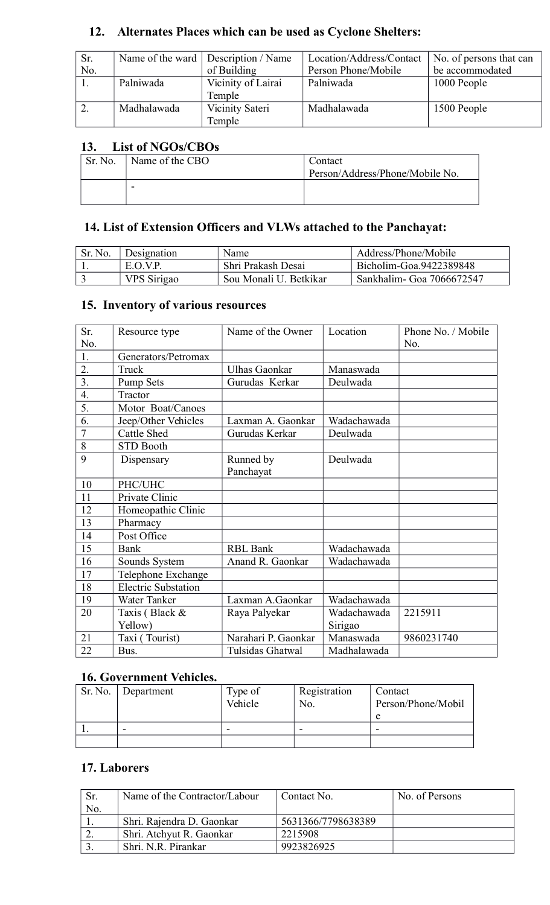# **12. Alternates Places which can be used as Cyclone Shelters:**

| Sr. |             | Name of the ward   Description / Name | Location/Address/Contact | No. of persons that can |
|-----|-------------|---------------------------------------|--------------------------|-------------------------|
| No. |             | of Building                           | Person Phone/Mobile      | be accommodated         |
|     | Palniwada   | Vicinity of Lairai                    | Palniwada                | 1000 People             |
|     |             | Temple                                |                          |                         |
|     | Madhalawada | Vicinity Sateri                       | Madhalawada              | 1500 People             |
|     |             | Temple                                |                          |                         |

#### **13. List of NGOs/CBOs**

| Sr. No. | Name of the CBO | Contact<br>Person/Address/Phone/Mobile No. |
|---------|-----------------|--------------------------------------------|
|         | -               |                                            |

# **14. List of Extension Officers and VLWs attached to the Panchayat:**

| Sr. No. | Designation | Name                   | Address/Phone/Mobile       |
|---------|-------------|------------------------|----------------------------|
|         | E.O.V.P.    | Shri Prakash Desai     | Bicholim-Goa.9422389848    |
|         | VPS Sirigao | Sou Monali U. Betkikar | Sankhalim - Goa 7066672547 |

#### **15. Inventory of various resources**

| Sr.              | Resource type              | Name of the Owner    | Location    | Phone No. / Mobile |
|------------------|----------------------------|----------------------|-------------|--------------------|
| No.              |                            |                      |             | No.                |
| 1.               | Generators/Petromax        |                      |             |                    |
| 2.               | Truck                      | <b>Ulhas Gaonkar</b> | Manaswada   |                    |
| 3.               | Pump Sets                  | Gurudas Kerkar       | Deulwada    |                    |
| $\overline{4}$ . | Tractor                    |                      |             |                    |
| $\overline{5}$ . | Motor Boat/Canoes          |                      |             |                    |
| 6.               | Jeep/Other Vehicles        | Laxman A. Gaonkar    | Wadachawada |                    |
| $\overline{7}$   | <b>Cattle Shed</b>         | Gurudas Kerkar       | Deulwada    |                    |
| 8                | <b>STD Booth</b>           |                      |             |                    |
| 9                | Dispensary                 | Runned by            | Deulwada    |                    |
|                  |                            | Panchayat            |             |                    |
| 10               | PHC/UHC                    |                      |             |                    |
| 11               | Private Clinic             |                      |             |                    |
| 12               | Homeopathic Clinic         |                      |             |                    |
| 13               | Pharmacy                   |                      |             |                    |
| 14               | Post Office                |                      |             |                    |
| 15               | Bank                       | <b>RBL Bank</b>      | Wadachawada |                    |
| 16               | Sounds System              | Anand R. Gaonkar     | Wadachawada |                    |
| 17               | Telephone Exchange         |                      |             |                    |
| 18               | <b>Electric Substation</b> |                      |             |                    |
| 19               | Water Tanker               | Laxman A.Gaonkar     | Wadachawada |                    |
| 20               | Taxis (Black &             | Raya Palyekar        | Wadachawada | 2215911            |
|                  | Yellow)                    |                      | Sirigao     |                    |
| 21               | Taxi (Tourist)             | Narahari P. Gaonkar  | Manaswada   | 9860231740         |
| 22               | Bus.                       | Tulsidas Ghatwal     | Madhalawada |                    |

#### **16. Government Vehicles.**

| Sr. No. | Department | Type of<br>Vehicle | Registration<br>No. | Contact<br>Person/Phone/Mobil<br>e |
|---------|------------|--------------------|---------------------|------------------------------------|
|         | -          | -                  |                     | -                                  |
|         |            |                    |                     |                                    |

#### **17. Laborers**

| Sr. | Name of the Contractor/Labour | Contact No.        | No. of Persons |
|-----|-------------------------------|--------------------|----------------|
| No. |                               |                    |                |
|     | Shri. Rajendra D. Gaonkar     | 5631366/7798638389 |                |
|     | Shri. Atchyut R. Gaonkar      | 2215908            |                |
|     | Shri, N.R. Pirankar           | 9923826925         |                |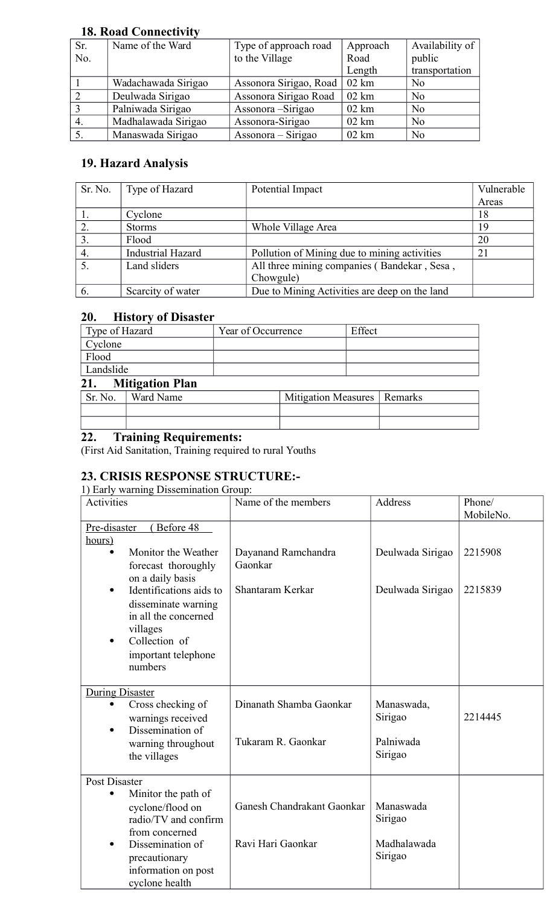#### **18. Road Connectivity**

| Sr.          | Name of the Ward    | Type of approach road  | Approach        | Availability of |
|--------------|---------------------|------------------------|-----------------|-----------------|
| No.          |                     | to the Village         | Road            | public          |
|              |                     |                        | Length          | transportation  |
|              | Wadachawada Sirigao | Assonora Sirigao, Road | $02 \text{ km}$ | N <sub>0</sub>  |
| 2            | Deulwada Sirigao    | Assonora Sirigao Road  | $02 \text{ km}$ | N <sub>0</sub>  |
| $\mathbf{c}$ | Palniwada Sirigao   | Assonora – Sirigao     | $02 \text{ km}$ | N <sub>0</sub>  |
| 4.           | Madhalawada Sirigao | Assonora-Sirigao       | $02 \text{ km}$ | N <sub>0</sub>  |
|              | Manaswada Sirigao   | Assonora – Sirigao     | $02 \text{ km}$ | N <sub>0</sub>  |

## **19. Hazard Analysis**

| Sr. No.        | Type of Hazard           | Potential Impact                              | Vulnerable |
|----------------|--------------------------|-----------------------------------------------|------------|
|                |                          |                                               | Areas      |
|                | Cyclone                  |                                               | 18         |
|                | <b>Storms</b>            | Whole Village Area                            | 19         |
| 3 <sub>1</sub> | Flood                    |                                               | 20         |
| 4.             | <b>Industrial Hazard</b> | Pollution of Mining due to mining activities  | 21         |
|                | Land sliders             | All three mining companies (Bandekar, Sesa,   |            |
|                |                          | Chowgule)                                     |            |
| 6.             | Scarcity of water        | Due to Mining Activities are deep on the land |            |

#### **20. History of Disaster**

| Type of Hazard |                        | Year of Occurrence |                               | Effect |  |
|----------------|------------------------|--------------------|-------------------------------|--------|--|
| Cyclone        |                        |                    |                               |        |  |
| Flood          |                        |                    |                               |        |  |
| Landslide      |                        |                    |                               |        |  |
| 21.            | <b>Mitigation Plan</b> |                    |                               |        |  |
| Sr. No.        | Ward Name              |                    | Mitigation Measures   Remarks |        |  |

# Sr. No. | Ward Name  $\vert$  Mitigation Measures | Remarks

#### **22. Training Requirements:**

(First Aid Sanitation, Training required to rural Youths

#### **23. CRISIS RESPONSE STRUCTURE:-**

1) Early warning Dissemination Group:

| Activities             |                                                                                                                                       | Name of the members            | Address                | Phone/<br>MobileNo. |
|------------------------|---------------------------------------------------------------------------------------------------------------------------------------|--------------------------------|------------------------|---------------------|
| Pre-disaster<br>hours) | Before 48                                                                                                                             |                                |                        |                     |
|                        | Monitor the Weather<br>forecast thoroughly<br>on a daily basis                                                                        | Dayanand Ramchandra<br>Gaonkar | Deulwada Sirigao       | 2215908             |
| $\bullet$              | Identifications aids to<br>disseminate warning<br>in all the concerned<br>villages<br>Collection of<br>important telephone<br>numbers | Shantaram Kerkar               | Deulwada Sirigao       | 2215839             |
| <b>During Disaster</b> |                                                                                                                                       | Dinanath Shamba Gaonkar        | Manaswada,             |                     |
| $\bullet$              | Cross checking of<br>warnings received<br>Dissemination of                                                                            |                                | Sirigao                | 2214445             |
|                        | warning throughout<br>the villages                                                                                                    | Tukaram R. Gaonkar             | Palniwada<br>Sirigao   |                     |
| <b>Post Disaster</b>   |                                                                                                                                       |                                |                        |                     |
| $\bullet$              | Minitor the path of<br>cyclone/flood on<br>radio/TV and confirm<br>from concerned                                                     | Ganesh Chandrakant Gaonkar     | Manaswada<br>Sirigao   |                     |
| $\bullet$              | Dissemination of<br>precautionary<br>information on post<br>cyclone health                                                            | Ravi Hari Gaonkar              | Madhalawada<br>Sirigao |                     |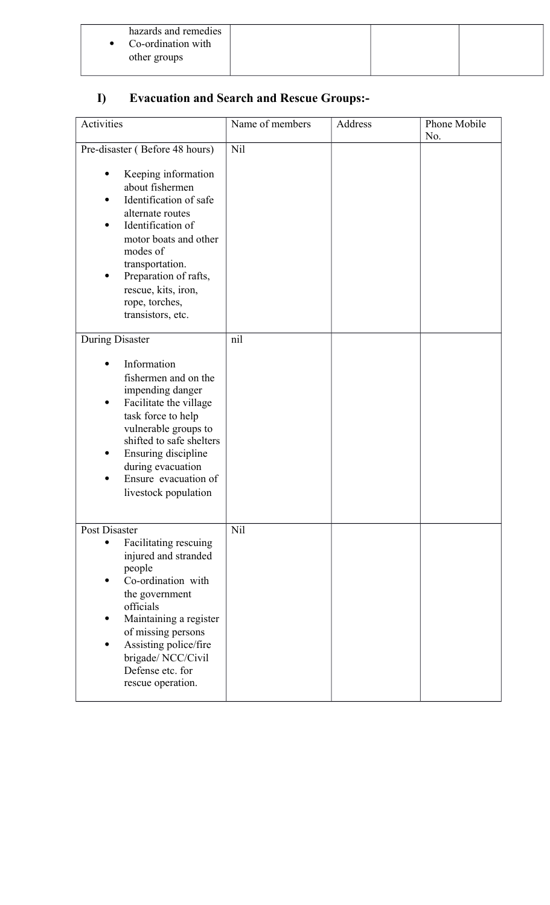| Co-ordination with<br>$\bullet$<br>other groups | hazards and remedies |  |  |
|-------------------------------------------------|----------------------|--|--|
|-------------------------------------------------|----------------------|--|--|

# **I) Evacuation and Search and Rescue Groups:-**

| Activities                                                                                                                                                                                                                                                                                 | Name of members | Address | Phone Mobile<br>No. |
|--------------------------------------------------------------------------------------------------------------------------------------------------------------------------------------------------------------------------------------------------------------------------------------------|-----------------|---------|---------------------|
| Pre-disaster (Before 48 hours)<br>Keeping information<br>about fishermen<br>Identification of safe<br>alternate routes<br>Identification of<br>motor boats and other<br>modes of<br>transportation.<br>Preparation of rafts,<br>rescue, kits, iron,<br>rope, torches,<br>transistors, etc. | Nil             |         |                     |
| <b>During Disaster</b><br>Information<br>fishermen and on the<br>impending danger<br>Facilitate the village<br>task force to help<br>vulnerable groups to<br>shifted to safe shelters<br>Ensuring discipline<br>during evacuation<br>Ensure evacuation of<br>livestock population          | nil             |         |                     |
| Post Disaster<br>Facilitating rescuing<br>injured and stranded<br>people<br>Co-ordination with<br>the government<br>officials<br>Maintaining a register<br>of missing persons<br>Assisting police/fire<br>brigade/NCC/Civil<br>Defense etc. for<br>rescue operation.                       | Nil             |         |                     |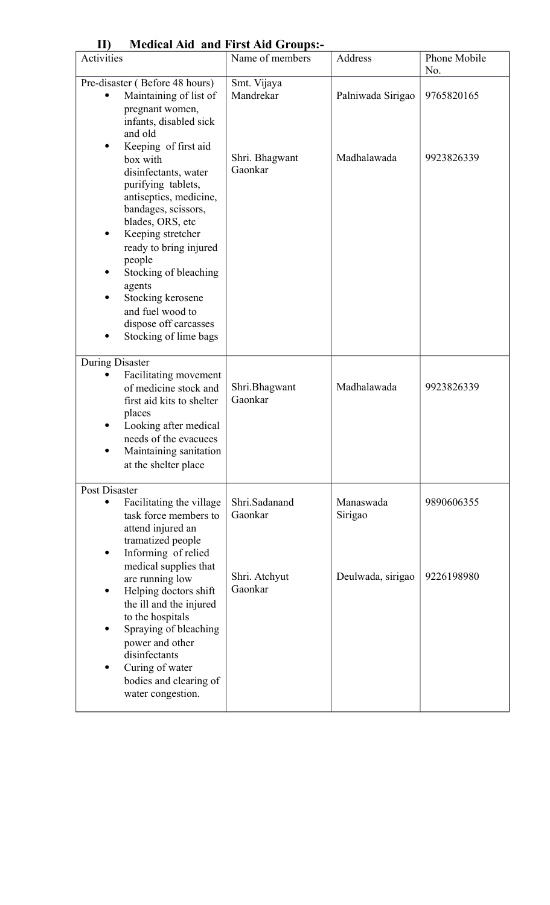| 11)                  |                                                                                                                                                                                                                                | <b>Medical Ald and First Ald Groups:-</b>             |                                  |                          |
|----------------------|--------------------------------------------------------------------------------------------------------------------------------------------------------------------------------------------------------------------------------|-------------------------------------------------------|----------------------------------|--------------------------|
| Activities           |                                                                                                                                                                                                                                | Name of members                                       | Address                          | Phone Mobile<br>No.      |
| ٠                    | Pre-disaster (Before 48 hours)<br>Maintaining of list of<br>pregnant women,<br>infants, disabled sick<br>and old<br>Keeping of first aid<br>box with<br>disinfectants, water<br>purifying tablets,<br>antiseptics, medicine,   | Smt. Vijaya<br>Mandrekar<br>Shri. Bhagwant<br>Gaonkar | Palniwada Sirigao<br>Madhalawada | 9765820165<br>9923826339 |
| ٠                    | bandages, scissors,<br>blades, ORS, etc<br>Keeping stretcher<br>ready to bring injured<br>people<br>Stocking of bleaching<br>agents<br>Stocking kerosene<br>and fuel wood to<br>dispose off carcasses<br>Stocking of lime bags |                                                       |                                  |                          |
| During Disaster<br>٠ | Facilitating movement<br>of medicine stock and<br>first aid kits to shelter<br>places<br>Looking after medical<br>needs of the evacuees<br>Maintaining sanitation<br>at the shelter place                                      | Shri.Bhagwant<br>Gaonkar                              | Madhalawada                      | 9923826339               |
| Post Disaster<br>٠   | Facilitating the village<br>task force members to<br>attend injured an<br>tramatized people<br>Informing of relied<br>medical supplies that                                                                                    | Shri.Sadanand<br>Gaonkar                              | Manaswada<br>Sirigao             | 9890606355               |
| ٠                    | are running low<br>Helping doctors shift<br>the ill and the injured<br>to the hospitals<br>Spraying of bleaching<br>power and other<br>disinfectants<br>Curing of water<br>bodies and clearing of<br>water congestion.         | Shri. Atchyut<br>Gaonkar                              | Deulwada, sirigao                | 9226198980               |

### **II) Medical Aid and First Aid Groups:-**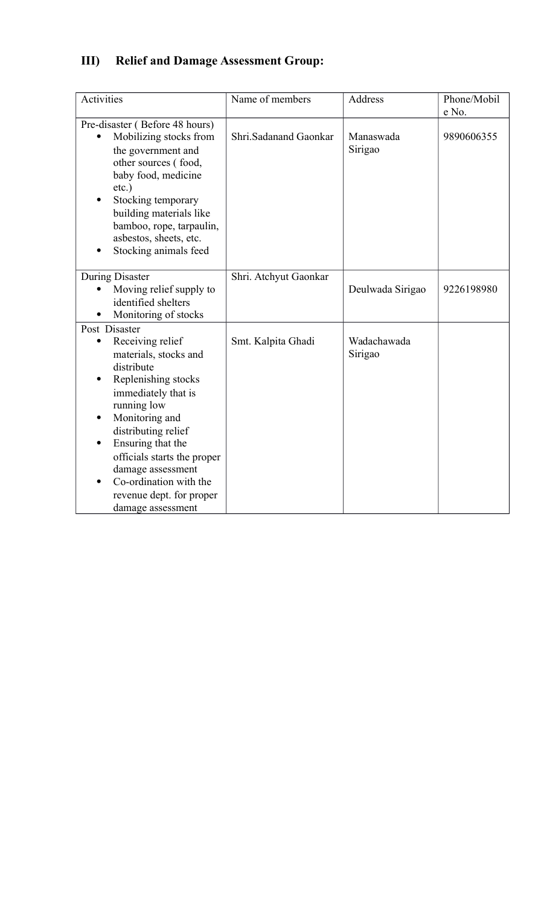# **III) Relief and Damage Assessment Group:**

| Activities                                                                                                                                                                                                                                                                                                                                                                | Name of members       | Address                | Phone/Mobil<br>e No. |
|---------------------------------------------------------------------------------------------------------------------------------------------------------------------------------------------------------------------------------------------------------------------------------------------------------------------------------------------------------------------------|-----------------------|------------------------|----------------------|
| Pre-disaster (Before 48 hours)<br>Mobilizing stocks from<br>the government and<br>other sources (food,<br>baby food, medicine<br>$etc.$ )<br>Stocking temporary<br>building materials like<br>bamboo, rope, tarpaulin,<br>asbestos, sheets, etc.<br>Stocking animals feed                                                                                                 | Shri.Sadanand Gaonkar | Manaswada<br>Sirigao   | 9890606355           |
| <b>During Disaster</b><br>Moving relief supply to<br>identified shelters<br>Monitoring of stocks                                                                                                                                                                                                                                                                          | Shri. Atchyut Gaonkar | Deulwada Sirigao       | 9226198980           |
| Post Disaster<br>Receiving relief<br>$\bullet$<br>materials, stocks and<br>distribute<br>Replenishing stocks<br>$\bullet$<br>immediately that is<br>running low<br>Monitoring and<br>$\bullet$<br>distributing relief<br>Ensuring that the<br>officials starts the proper<br>damage assessment<br>Co-ordination with the<br>revenue dept. for proper<br>damage assessment | Smt. Kalpita Ghadi    | Wadachawada<br>Sirigao |                      |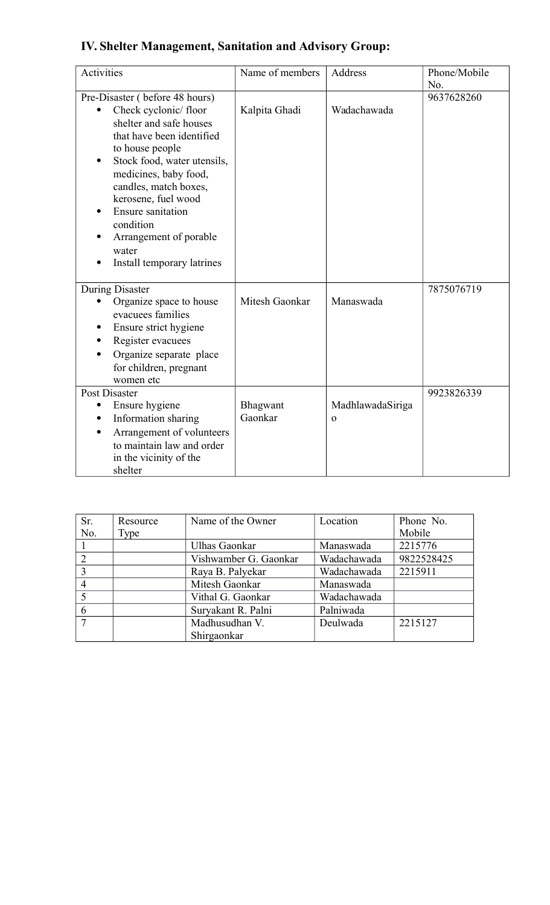| <b>Activities</b>                                                                                                                                                                                                                                                                                                                                   | Name of members     | Address                         | Phone/Mobile<br>No. |
|-----------------------------------------------------------------------------------------------------------------------------------------------------------------------------------------------------------------------------------------------------------------------------------------------------------------------------------------------------|---------------------|---------------------------------|---------------------|
| Pre-Disaster (before 48 hours)<br>Check cyclonic/floor<br>shelter and safe houses<br>that have been identified<br>to house people<br>Stock food, water utensils,<br>medicines, baby food,<br>candles, match boxes,<br>kerosene, fuel wood<br><b>Ensure sanitation</b><br>condition<br>Arrangement of porable<br>water<br>Install temporary latrines | Kalpita Ghadi       | Wadachawada                     | 9637628260          |
| During Disaster<br>Organize space to house<br>evacuees families<br>Ensure strict hygiene<br>Register evacuees<br>Organize separate place<br>for children, pregnant<br>women etc                                                                                                                                                                     | Mitesh Gaonkar      | Manaswada                       | 7875076719          |
| Post Disaster<br>Ensure hygiene<br>Information sharing<br>Arrangement of volunteers<br>to maintain law and order<br>in the vicinity of the<br>shelter                                                                                                                                                                                               | Bhagwant<br>Gaonkar | MadhlawadaSiriga<br>$\mathbf 0$ | 9923826339          |

| Sr.            | Resource | Name of the Owner     | Location    | Phone No.  |
|----------------|----------|-----------------------|-------------|------------|
| No.            | Type     |                       |             | Mobile     |
|                |          | Ulhas Gaonkar         | Manaswada   | 2215776    |
| $\overline{2}$ |          | Vishwamber G. Gaonkar | Wadachawada | 9822528425 |
|                |          | Raya B. Palyekar      | Wadachawada | 2215911    |
| 4              |          | Mitesh Gaonkar        | Manaswada   |            |
|                |          | Vithal G. Gaonkar     | Wadachawada |            |
| 6              |          | Suryakant R. Palni    | Palniwada   |            |
|                |          | Madhusudhan V.        | Deulwada    | 2215127    |
|                |          | Shirgaonkar           |             |            |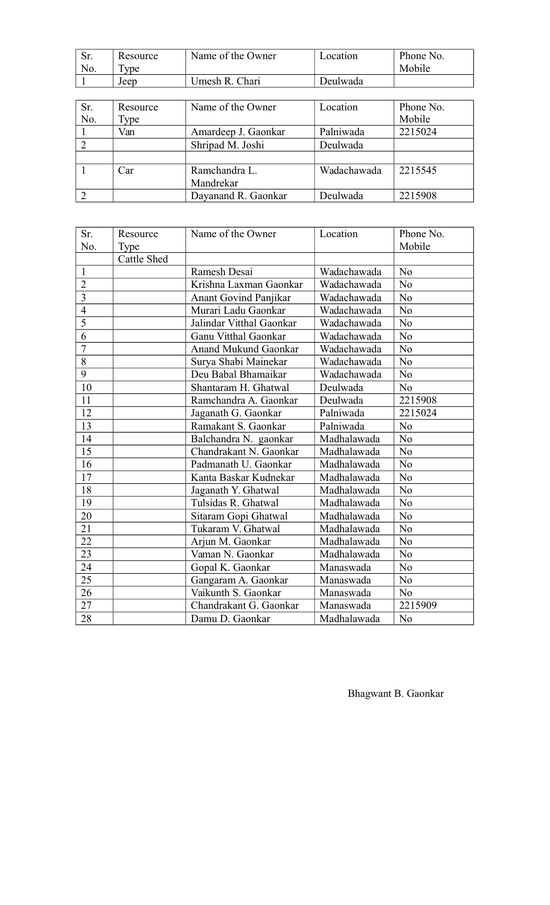| Sr.            | Resource | Name of the Owner   | Location    | Phone No. |
|----------------|----------|---------------------|-------------|-----------|
| No.            | Type     |                     |             | Mobile    |
|                | Jeep     | Umesh R. Chari      | Deulwada    |           |
|                |          |                     |             |           |
| Sr.            | Resource | Name of the Owner   | Location    | Phone No. |
| No.            | Type     |                     |             | Mobile    |
|                | Van      | Amardeep J. Gaonkar | Palniwada   | 2215024   |
| 2              |          | Shripad M. Joshi    | Deulwada    |           |
|                |          |                     |             |           |
|                | Car      | Ramchandra L.       | Wadachawada | 2215545   |
|                |          | Mandrekar           |             |           |
| $\overline{2}$ |          | Dayanand R. Gaonkar | Deulwada    | 2215908   |

| Sr.            | Resource           | Name of the Owner            | Location    | Phone No.      |
|----------------|--------------------|------------------------------|-------------|----------------|
| No.            | Type               |                              |             | Mobile         |
|                | <b>Cattle Shed</b> |                              |             |                |
| $\mathbf{1}$   |                    | Ramesh Desai                 | Wadachawada | N <sub>o</sub> |
| $\overline{2}$ |                    | Krishna Laxman Gaonkar       | Wadachawada | N <sub>o</sub> |
| $\overline{3}$ |                    | <b>Anant Govind Panjikar</b> | Wadachawada | N <sub>o</sub> |
| $\overline{4}$ |                    | Murari Ladu Gaonkar          | Wadachawada | N <sub>o</sub> |
| $\overline{5}$ |                    | Jalindar Vitthal Gaonkar     | Wadachawada | N <sub>o</sub> |
| 6              |                    | Ganu Vitthal Gaonkar         | Wadachawada | N <sub>o</sub> |
| $\overline{7}$ |                    | <b>Anand Mukund Gaonkar</b>  | Wadachawada | N <sub>o</sub> |
| 8              |                    | Surya Shabi Mainekar         | Wadachawada | N <sub>o</sub> |
| 9              |                    | Deu Babal Bhamaikar          | Wadachawada | N <sub>o</sub> |
| 10             |                    | Shantaram H. Ghatwal         | Deulwada    | No             |
| 11             |                    | Ramchandra A. Gaonkar        | Deulwada    | 2215908        |
| 12             |                    | Jaganath G. Gaonkar          | Palniwada   | 2215024        |
| 13             |                    | Ramakant S. Gaonkar          | Palniwada   | No             |
| 14             |                    | Balchandra N. gaonkar        | Madhalawada | N <sub>o</sub> |
| 15             |                    | Chandrakant N. Gaonkar       | Madhalawada | $\rm No$       |
| 16             |                    | Padmanath U. Gaonkar         | Madhalawada | N <sub>o</sub> |
| 17             |                    | Kanta Baskar Kudnekar        | Madhalawada | N <sub>o</sub> |
| 18             |                    | Jaganath Y. Ghatwal          | Madhalawada | N <sub>o</sub> |
| 19             |                    | Tulsidas R. Ghatwal          | Madhalawada | N <sub>o</sub> |
| 20             |                    | Sitaram Gopi Ghatwal         | Madhalawada | N <sub>o</sub> |
| 21             |                    | Tukaram V. Ghatwal           | Madhalawada | N <sub>o</sub> |
| 22             |                    | Arjun M. Gaonkar             | Madhalawada | N <sub>o</sub> |
| 23             |                    | Vaman N. Gaonkar             | Madhalawada | $\rm No$       |
| 24             |                    | Gopal K. Gaonkar             | Manaswada   | No             |
| 25             |                    | Gangaram A. Gaonkar          | Manaswada   | $\rm No$       |
| 26             |                    | Vaikunth S. Gaonkar          | Manaswada   | N <sub>o</sub> |
| 27             |                    | Chandrakant G. Gaonkar       | Manaswada   | 2215909        |
| 28             |                    | Damu D. Gaonkar              | Madhalawada | N <sub>o</sub> |

Bhagwant B. Gaonkar